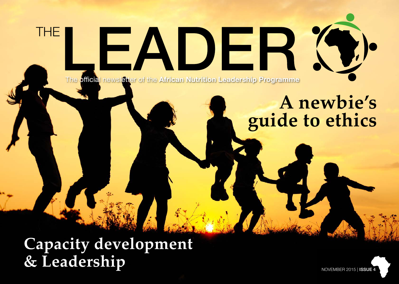The official newsletter of the **African Nutrition Leadership Programme**

EADER

# **A newbie's guide to ethics**

**Capacity development & Leadership**

**THE** 

NOVEMBER 2015 | ISSUE 4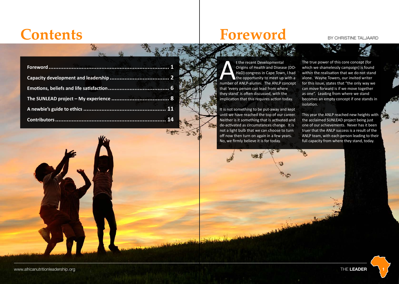## Contents **Foreword** BY CHRISTINE TALJAARD



It is not something to be put-away and kept until we have reached the top of our career. Neither is it something that is activated and de-activated as circumstances change. It is not a light bulb that we can choose to turn off now then turn on again in a few years. No, we firmly believe it is for today.

N.

The true power of this core concept (for which we shamelessly campaign) is found within the realisation that we do not stand alone. Wayne Towers, our invited writer for this issue, states that "the only way we can move forward is if we move together as one". Leading from where we stand becomes an empty concept if one stands in isolation.

This year the ANLP reached new heights with the acclaimed SUNLEAD project being just one of our achievements. Never has it been truer that the ANLP success is a result of the ANLP team, with each person leading to their full capacity from where they stand, today.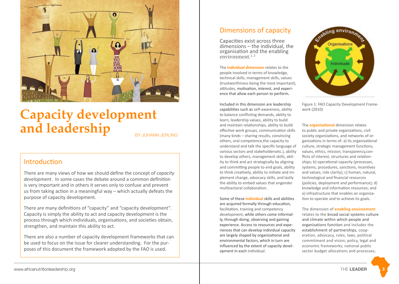

### **Capacity development**  and leadership

### Introduction

There are many views of how we should define the concept of *capacity development*. In some cases the debate around a common definition is very important and in others it serves only to confuse and prevent us from taking action in a meaningful way – which actually defeats the purpose of capacity development.

There are many definitions of "capacity" and "capacity development". Capacity is simply the ability to act and capacity development is the process through which individuals, organisations, and societies obtain, strengthen, and maintain this ability to act.

There are also a number of capacity development frameworks that can be used to focus on the issue for clearer understanding. For the purposes of this document the framework adopted by the FAO is used.

### Dimensions of capacity

Capacities exist across three dimensions – the individual, the organisation and the enabling environment. $1, 2$ 

The **individual dimension** relates to the people involved in terms of knowledge, technical skills, management skills, values (trustworthiness being the most important), attitudes, motivation, interest, and experience that allow each person to perform.

Included in this dimension are leadership capabilities such as self-awareness, ability to balance conflicting demands, ability to learn, leadership values, ability to build and maintain relationships, ability to build effective work groups, communication skills (many kinds – sharing results, convincing others, oral competence,the capacity to understand and talk the specific language of various sectors and stakeholdersetc.), ability to develop others, management skills, ability to think and act strategically by aligning and committing people to end goals, ability to think creatively, ability to initiate and implement change, advocacy skills, and lastly the ability to embed values that engender multisectoral collaboration.

Some of these **Individual** skills and abilities are acquired formally through education, facilitation, training and competency development, while others come informally, through doing, observing and gaining experience. Access to resources and experiences that can develop individual capacity are largely shaped by organizational and environmental factors, which in turn are influenced by the extent of capacity development in each individual.



Figure 1: FAO Capacity Development Framework (2010)

The **organizational** dimension relates to public and private organizations, civil society organizations, and networks of organizations in terms of: a) its organizational culture, strategic management functions, values, ethics, mission, transparency,conflicts of interest, structures and relationships; b) operational capacity (processes, systems, procedures, sanctions, incentives and values, role clarity); c) human, natural, technological and financial resources (policies, deployment and performance); d) knowledge and information resources; and e) infrastructure that enables an organization to operate and to achieve its goals.

The dimension of **enabling environment** relates to the broad social systems culture and climate within which people and organizations function and includes the establishment of partnerships, cooperation, advocacy, rules, laws, political commitment and vision; policy, legal and economic frameworks; national public sector budget allocations and processes;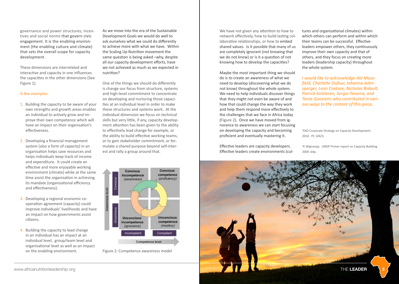governance and power structures; incentives and social norms that govern civic engagement. It is the enabling environment (the enabling culture and climate) that sets the overall scope for capacity development.

These dimensions are interrelated and interactive and capacity in one influences the capacities in the other dimensions (See Figure 1).

### A few examples:

- 1. Building the capacity to be aware of your own strengths and growth areas enables an individual to actively grow and improve their own competence which will have an impact on their organisation's effectiveness.
- 2. Developing a financial management system (also a form of capacity) in an organisation helps save resources and helps individuals keep track of income and expenditure. It could create an effective and more enjoyable working environment (climate) while at the same time assist the organisation in achieving its mandate (organizational efficiency and effectiveness).
- 3. Developing a regional economic cooperation agreement (capacity) could improve individuals' livelihoods and have an impact on how governments assist citizens.
- 4. Building the capacity to lead change in an individual has an impact at an individual level, group/team level and organisational level as well as an impact on the enabling environment.

As we move into the era of the Sustainable Development Goals we would do well to ask ourselves what we could do differently to achieve more with what we have. Within the Scaling Up Nutrition movement the same question is being asked –why, despite all our capacity development efforts, have we not achieved as much as we expected in nutrition?

One of the things we should do differently is change our focus from structure, systems and high-level commitment to concentrate on developing and nurturing those capacities at an individual level in order to make these structures and systems work. At the individual dimension we focus on technical skills but very little, if any, capacity development attention has been given to the ability to effectively lead change for example, or the ability to build effective working teams, or to gain stakeholder commitment, or formulate a shared purpose beyond self-interest and rally a group around that.



Figure 2: Competence awareness model

We have not given any attention to how to network effectively, how to build lasting collaborative relationships, or how to embed shared values. Is it possible that many of us are completely ignorant (not knowing that we do not know) or is it a question of not knowing how to develop the capacities?

Maybe the most important thing we should do is to create an awareness of what we need to develop (discovering what we do not know) throughout the whole system. We need to help individuals discover things that they might not even be aware of and how that could change the way they work and help them respond more effectively to the challenges that we face in Africa today (Figure 2). Once we have moved from ignorance to awareness we can start focusing on developing the capacity and becoming proficient and eventually mastering it.

Effective leaders are capacity developers. Effective leaders create environments (cultures and organizational climates) within which others can perform and within which their teams can be successful. Effective leaders empower others, they continuously improve their own capacity and that of others, and they focus on creating more leaders (leadership capacity) throughout the whole system.

*I would like to acknowledge Abi Masefield, Charlotte Dufour, Johanna Jelensperger, Leon Coetsee, Nicholas Bidault, Patrick Kolsteren, Sergio Teixeira, and Tania Goossens who contributed in various ways to the content of this piece.*

<sup>1</sup>FAO Corporate Strategy on Capacity Development, 2010. PC 104/3.

2 K Wignaraja. UNDP Primer report on Capacity Building. 2009. 64p.

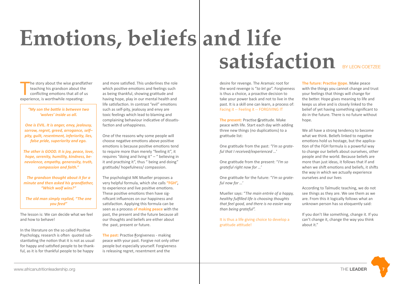# **Emotions, beliefs and life Satisfaction** BY LEON COETZEE

The story about the wise grandfateaching his grandson about the conflicting emotions that all of experience, is worthwhile repeating: he story about the wise grandfather teaching his grandson about the conflicting emotions that all of us

> *"My son the battle is between two 'wolves' inside us all.*

*One is EVIL. It is anger, envy, jealousy, sorrow, regret, greed, arrogance, self– pity, guilt, resentment, inferiority, lies, false pride, superiority and ego.*

*The other is GOOD. It is joy, peace, love, hope, serenity, humility, kindness, benevolence, empathy, generosity, truth, compassion and faith."*

*The grandson thought about it for a minute and then asked his grandfather, "Which wolf wins?"*

*The old man simply replied, "The one you feed"*

The lesson is: We can decide what we feel and how to behave!

In the literature on the so called Positive Psychology, research is often quoted substantiating the notion that it is not as usual for happy and satisfied people to be thankful, as it is for thankful people to be happy

and more satisfied. This underlines the role which positive emotions and feelings such as being thankful, showing gratitude and having hope, play in our mental health and life satisfaction. In contrast "evil" emotions such as self-pity, jealousy and envy are toxic feelings which lead to blaming and complaining behaviour indicative of dissatisfaction and unhappiness.

One of the reasons why some people will choose negative emotions above positive emotions is because positive emotions tend to require more than merely "feeling it", it requires "doing and living it" – " believing in it and practising it", thus " being and doing" gratitude/ hopefulness/ compassion.

The psychologist MK Mueller proposes a very helpful formula, which she calls **"FGH",** to experience and live positive emotions. These positive emotions then have significant influences on our happiness and satisfaction. Applying this formula can be seen as a process **of making peace** with the past, the present and the future because all our thoughts and beliefs are either about the past, present or future.

**The past:** Practise **F**orgiveness - making peace with your past. Forgive not only other people but especially yourself. Forgiveness is releasing regret, resentment and the

desire for revenge. The Aramaic root for the word revenge is "*to let go*". Forgiveness is thus a choice, a proactive decision to take your power back and not to live in the

Facing it -- Feeling it -- FORGIVING IT

past. It is a skill one can learn, a process of:

**The present:** Practise **G**ratitude. Make peace with life. Start each day with adding three new things (no duplications) to a gratitude list:

One gratitude from the past: *"I'm so grateful that I received/experienced …*'

One gratitude from the present: "*I'm so grateful right now for …*'

One gratitude for the future: "*I'm so grateful now for …*'

Mueller says: "*The main entrée of a happy, healthy fulfilled life is choosing thoughts that feel good, and there is no easier way than being grateful".* 

It is thus a life giving choice to develop a gratitude attitude!

**The future: Practise Hope.** Make peace with the things you cannot change and trust your feelings that things will change for the better. Hope gives meaning to life and keeps us alive and is closely linked to the belief of yet having something significant to do in the future. There is no future without hope.

We all have a strong tendency to become what we think. Beliefs linked to negative emotions hold us hostage, but the application of the FGH formula is a powerful way to change our beliefs about ourselves, other people and the world. Because beliefs are more than just ideas, it follows that if and when we shift emotions and beliefs, it shifts the way in which we actually experience ourselves and our lives

According to Talmudic teaching, we do not see things as they are. We see them as we are. From this it logically follows what an unknown person has so eloquently said:

If you don't like something, change it. If you can't change it, change the way you think about it."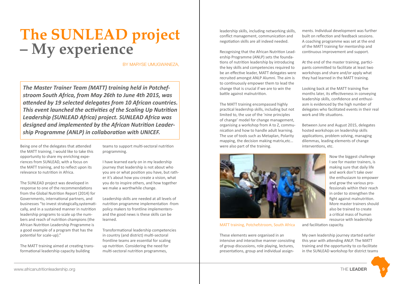### **The SUNLEAD project – My experience**

BY MARYSE UMUGWANEZA,

*The Master Trainer Team (MATT) training held in Potchefstroom South Africa, from May 26th to June 4th 2015, was attended by 19 selected delegates from 10 African countries. This event launched the activities of the Scaling Up Nutrition Leadership (SUNLEAD Africa) project. SUNLEAD Africa was designed and implemented by the African Nutrition Leadership Programme (ANLP) in collaboration with UNICEF.*

Being one of the delegates that attended the MATT training, I would like to take this opportunity to share my enriching experiences from SUNLEAD, with a focus on the MATT training, and to reflect upon its relevance to nutrition in Africa.

The SUNLEAD project was developed in response to one of the recommendations from the Global Nutrition Report (2014) for Governments, international partners, and businesses "to invest strategically,systematically, and in a sustained manner in nutrition leadership programs to scale up the numbers and reach of nutrition champions (the African Nutrition Leadership Programme is a good example of a program that has the potential for scale-up)."

The MATT training aimed at creating transformational leadership capacity building

teams to support multi-sectoral nutrition programming.

I have learned early on in my leadership journey that leadership is not about who you are or what position you have, but rather it's about how you create a vision, what you do to inspire others, and how together we make a worthwhile change.

Leadership skills are needed at all levels of nutrition programme implementation -from policy makers to frontline implementersand the good news is these skills can be learned.

Transformational leadership competencies in country (and district) multi-sectoral frontline teams are essential for scaling up nutrition. Considering the need for multi-sectoral nutrition programmes,

leadership skills, including networking skills, conflict management, communication and negotiation skills are all indeed needed.

Recognising that the African Nutrition Leadership Programme (ANLP) sets the foundations of nutrition leadership by introducing the key skills and competencies required to be an effective leader, MATT delegates were recruited amongst ANLP Alumni. The aim is to continuously empower them to lead the change that is crucial if we are to win the battle against malnutrition.

The MATT training encompassed highly practical leadership skills, including but not limited to, the use of the 'nine principles of change' model for change management, organising a workshop from A to Z, communication and how to handle adult learning. The use of tools such as Metaplan, Polarity mapping, the decision making matrix,etc… were also part of the training.



### MATT training, Potchefstroom, South Africa

These elements were organised in an intensive and interactive manner consisting of group discussions, role playing, lectures, presentations, group and individual assignments. Individual development was further built on reflection and feedback sessions. A coaching programme was set at the end of the MATT training for mentorship and continuous improvement and support.

At the end of the master training, participants committed to facilitate at least two workshops and share and/or apply what they had learned in the MATT training.

Looking back at the MATT training five months later, its effectiveness in conveying leadership skills, confidence and enthusiasm is evidenced by the high number of delegates who facilitated events in their real work and life situations.

Between June and August 2015, delegates hosted workshops on leadership skills applications, problem solving, managing dilemmas, leading elements of change interventions, etc.

> Now the biggest challenge I see for master trainers, is making sure that daily life and work don't take over the enthusiasm to empower and grow the various professionals within their reach in order to strengthen the fight against malnutrition. More master trainers should also be trained to create a critical mass of human resource with leadership

and facilitation capacity.

My own leadership journey started earlier this year with attending ANLP. The MATT training and the opportunity to co-facilitate in the SUNLEAD workshop for district teams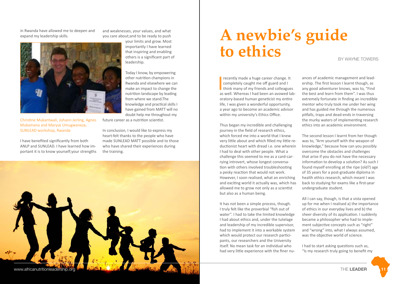<span id="page-6-0"></span>in Rwanda have allowed me to deepen and expand my leadership skills.



Christine Mukantwali, Johann Jerling, Agnes Mukamana and Maryse Umugwaneza, SUNLEAD workshop, Rwanda

I have benefited significantly from both ANLP and SUNLEAD. I have learned how important it is to know yourself;your strengths and weaknesses, your values, and what you care about;and to be ready to push

> your limits and grow. Most importantly I have learned that inspiring and enabling others is a significant part of leadership.

Today I know, by empowering other nutrition champions in Rwanda and elsewhere we can make an impact to change the nutrition landscape by leading from where we stand.The knowledge and practical skills I have gained from MATT will no doubt help me throughout my

future career as a nutrition scientist.

In conclusion, I would like to express my heart-felt thanks to the people who have made SUNLEAD MATT possible and to those who have shared their experiences during the training.



## **A newbie's guide to ethics**

BY WAYNE TOWERS

I recently made a huge career change. It completely caught me off guard and I think many of my friends and colleagues as well. Whereas I had been an avowed laboratory-based human geneticist my entire life, I was given a wonderful opportunity, a year ago to become an academic advisor within my university's Ethics Office.

Thus began my incredible and challenging journey in the field of research ethics, which forced me into a world that I knew very little about and which filled my little reductionist heart with dread i.e. one wherein I had to deal with other people. What a challenge this seemed to me as a card-carrying introvert, whose longest conversation with others involved troubleshooting a pesky reaction that would not work. However, I soon realised, what an enriching and exciting world it actually was, which has allowed me to grow not only as a scientist but also as a human being.

It has not been a simple process, though. I truly felt like the proverbial "fish out of water". I had to take the limited knowledge I had about ethics and, under the tutelage and leadership of my incredible supervisor, had to implement it into a workable system which would protect our research participants, our researchers and the University itself. No mean task for an individual who had very little experience with the finer nuances of academic management and leadership. The first lesson I learnt though, as any good adventurer knows, was to, "Find the best and learn from them". I was thus extremely fortunate in finding an incredible mentor who truly took me under her wing and has guided me through the numerous pitfalls, traps and dead-ends in traversing the murky waters of implementing research ethics into an academic environment.

The second lesson I learnt from her though was to, "Arm yourself with the weapon of knowledge," because how can you possibly overcome the obstacles and challenges that arise if you do not have the necessary information to develop a solution? As such I found myself enrolling at the ripe (old?) age of 35 years for a post-graduate diploma in health ethics research, which meant I was back to studying for exams like a first-year undergraduate student.

All I can say, though, is that a vista opened up for me when I realised a) the importance of ethics in our everyday lives and b) the sheer diversity of its application. I suddenly became a philosopher who had to implement subjective concepts such as "right" and "wrong" into, what I always assumed, was the objective world of science.

I had to start asking questions such as, "Is my research truly going to benefit my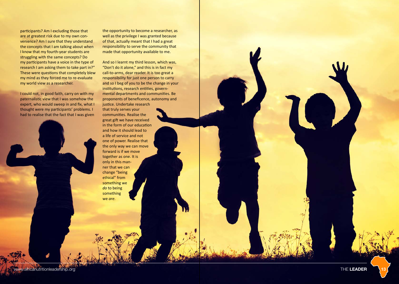participants? Am I excluding those that are at greatest risk due to my own convenience? Am I sure that they understand the concepts that I am talking about when I know that my fourth-year students are struggling with the same concepts? Do my participants have a voice in the type of research I am asking them to take part in?" These were questions that completely blew my mind as they forced me to re-evaluate my world view as a researcher.

I could not, in good faith, carry on with my paternalistic view that I was somehow the expert, who would sweep in and fix, what I thought were my participants' problems. I had to realise that the fact that I was given

the opportunity to become a researcher, as well as the privilege I was granted because of that, actually meant that I had a great responsibility to serve the community that made that opportunity available to me.

And so I learnt my third lesson, which was, "Don't do it alone," and this is in fact my call-to-arms, dear reader. It is too great a responsibility for just one person to carry and so I beg of you to be the change in your institutions, research entities, governmental departments and communities. Be proponents of beneficence, autonomy and justice. Undertake research that truly serves your

communities. Realise the great gift we have received in the form of our education and how it should lead to a life of service and not one of power. Realise that the only way we can move forward is if we move together as one. It is only in this manner that we can change "being ethical" from something we *do* to being something we *are*.